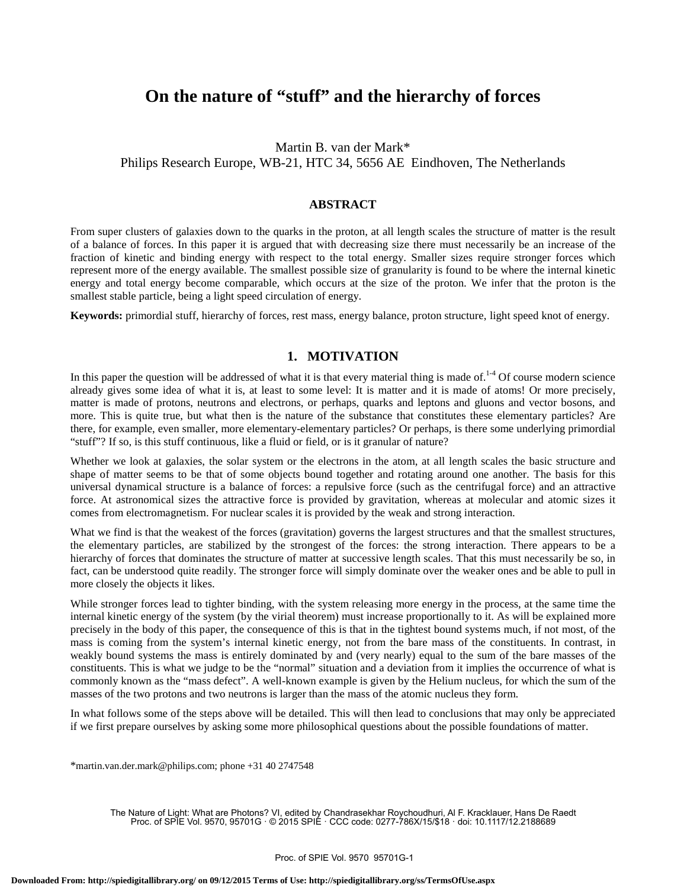# **On the nature of "stuff" and the hierarchy of forces**

Martin B. van der Mark\* Philips Research Europe, WB-21, HTC 34, 5656 AE Eindhoven, The Netherlands

### **ABSTRACT**

From super clusters of galaxies down to the quarks in the proton, at all length scales the structure of matter is the result of a balance of forces. In this paper it is argued that with decreasing size there must necessarily be an increase of the fraction of kinetic and binding energy with respect to the total energy. Smaller sizes require stronger forces which represent more of the energy available. The smallest possible size of granularity is found to be where the internal kinetic energy and total energy become comparable, which occurs at the size of the proton. We infer that the proton is the smallest stable particle, being a light speed circulation of energy.

**Keywords:** primordial stuff, hierarchy of forces, rest mass, energy balance, proton structure, light speed knot of energy.

### **1. MOTIVATION**

In this paper the question will be addressed of what it is that every material thing is made of. $^{1.4}$  Of course modern science already gives some idea of what it is, at least to some level: It is matter and it is made of atoms! Or more precisely, matter is made of protons, neutrons and electrons, or perhaps, quarks and leptons and gluons and vector bosons, and more. This is quite true, but what then is the nature of the substance that constitutes these elementary particles? Are there, for example, even smaller, more elementary-elementary particles? Or perhaps, is there some underlying primordial "stuff"? If so, is this stuff continuous, like a fluid or field, or is it granular of nature?

Whether we look at galaxies, the solar system or the electrons in the atom, at all length scales the basic structure and shape of matter seems to be that of some objects bound together and rotating around one another. The basis for this universal dynamical structure is a balance of forces: a repulsive force (such as the centrifugal force) and an attractive force. At astronomical sizes the attractive force is provided by gravitation, whereas at molecular and atomic sizes it comes from electromagnetism. For nuclear scales it is provided by the weak and strong interaction.

What we find is that the weakest of the forces (gravitation) governs the largest structures and that the smallest structures, the elementary particles, are stabilized by the strongest of the forces: the strong interaction. There appears to be a hierarchy of forces that dominates the structure of matter at successive length scales. That this must necessarily be so, in fact, can be understood quite readily. The stronger force will simply dominate over the weaker ones and be able to pull in more closely the objects it likes.

While stronger forces lead to tighter binding, with the system releasing more energy in the process, at the same time the internal kinetic energy of the system (by the virial theorem) must increase proportionally to it. As will be explained more precisely in the body of this paper, the consequence of this is that in the tightest bound systems much, if not most, of the mass is coming from the system's internal kinetic energy, not from the bare mass of the constituents. In contrast, in weakly bound systems the mass is entirely dominated by and (very nearly) equal to the sum of the bare masses of the constituents. This is what we judge to be the "normal" situation and a deviation from it implies the occurrence of what is commonly known as the "mass defect". A well-known example is given by the Helium nucleus, for which the sum of the masses of the two protons and two neutrons is larger than the mass of the atomic nucleus they form.

In what follows some of the steps above will be detailed. This will then lead to conclusions that may only be appreciated if we first prepare ourselves by asking some more philosophical questions about the possible foundations of matter.

\*martin.van.der.mark@philips.com; phone +31 40 2747548

The Nature of Light: What are Photons? VI, edited by Chandrasekhar Roychoudhuri, Al F. Kracklauer, Hans De Raedt Proc. of SPIE Vol. 9570, 95701G · © 2015 SPIE · CCC code: 0277-786X/15/\$18 · doi: 10.1117/12.2188689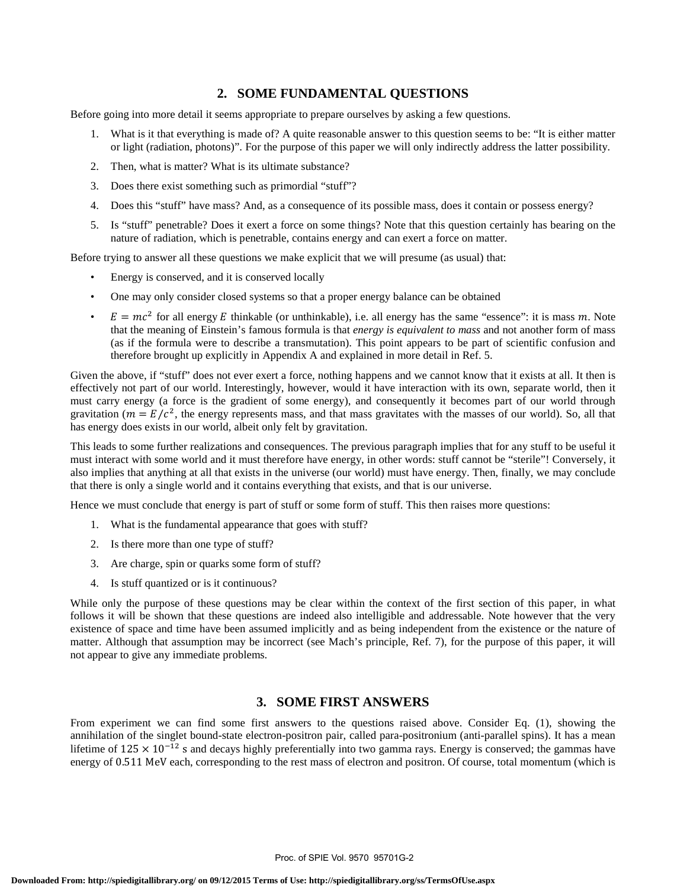## **2. SOME FUNDAMENTAL QUESTIONS**

Before going into more detail it seems appropriate to prepare ourselves by asking a few questions.

- 1. What is it that everything is made of? A quite reasonable answer to this question seems to be: "It is either matter or light (radiation, photons)". For the purpose of this paper we will only indirectly address the latter possibility.
- 2. Then, what is matter? What is its ultimate substance?
- 3. Does there exist something such as primordial "stuff"?
- 4. Does this "stuff" have mass? And, as a consequence of its possible mass, does it contain or possess energy?
- 5. Is "stuff" penetrable? Does it exert a force on some things? Note that this question certainly has bearing on the nature of radiation, which is penetrable, contains energy and can exert a force on matter.

Before trying to answer all these questions we make explicit that we will presume (as usual) that:

- Energy is conserved, and it is conserved locally
- One may only consider closed systems so that a proper energy balance can be obtained
- $E = mc^2$  for all energy E thinkable (or unthinkable), i.e. all energy has the same "essence": it is mass m. Note that the meaning of Einstein's famous formula is that *energy is equivalent to mass* and not another form of mass (as if the formula were to describe a transmutation). This point appears to be part of scientific confusion and therefore brought up explicitly in Appendix A and explained in more detail in Ref. 5.

Given the above, if "stuff" does not ever exert a force, nothing happens and we cannot know that it exists at all. It then is effectively not part of our world. Interestingly, however, would it have interaction with its own, separate world, then it must carry energy (a force is the gradient of some energy), and consequently it becomes part of our world through gravitation ( $m = E/c^2$ , the energy represents mass, and that mass gravitates with the masses of our world). So, all that has energy does exists in our world, albeit only felt by gravitation.

This leads to some further realizations and consequences. The previous paragraph implies that for any stuff to be useful it must interact with some world and it must therefore have energy, in other words: stuff cannot be "sterile"! Conversely, it also implies that anything at all that exists in the universe (our world) must have energy. Then, finally, we may conclude that there is only a single world and it contains everything that exists, and that is our universe.

Hence we must conclude that energy is part of stuff or some form of stuff. This then raises more questions:

- 1. What is the fundamental appearance that goes with stuff?
- 2. Is there more than one type of stuff?
- 3. Are charge, spin or quarks some form of stuff?
- 4. Is stuff quantized or is it continuous?

While only the purpose of these questions may be clear within the context of the first section of this paper, in what follows it will be shown that these questions are indeed also intelligible and addressable. Note however that the very existence of space and time have been assumed implicitly and as being independent from the existence or the nature of matter. Although that assumption may be incorrect (see Mach's principle, Ref. 7), for the purpose of this paper, it will not appear to give any immediate problems.

## **3. SOME FIRST ANSWERS**

From experiment we can find some first answers to the questions raised above. Consider Eq. (1), showing the annihilation of the singlet bound-state electron-positron pair, called para-positronium (anti-parallel spins). It has a mean lifetime of 125 × 10−12 s and decays highly preferentially into two gamma rays. Energy is conserved; the gammas have energy of 0.511 MeV each, corresponding to the rest mass of electron and positron. Of course, total momentum (which is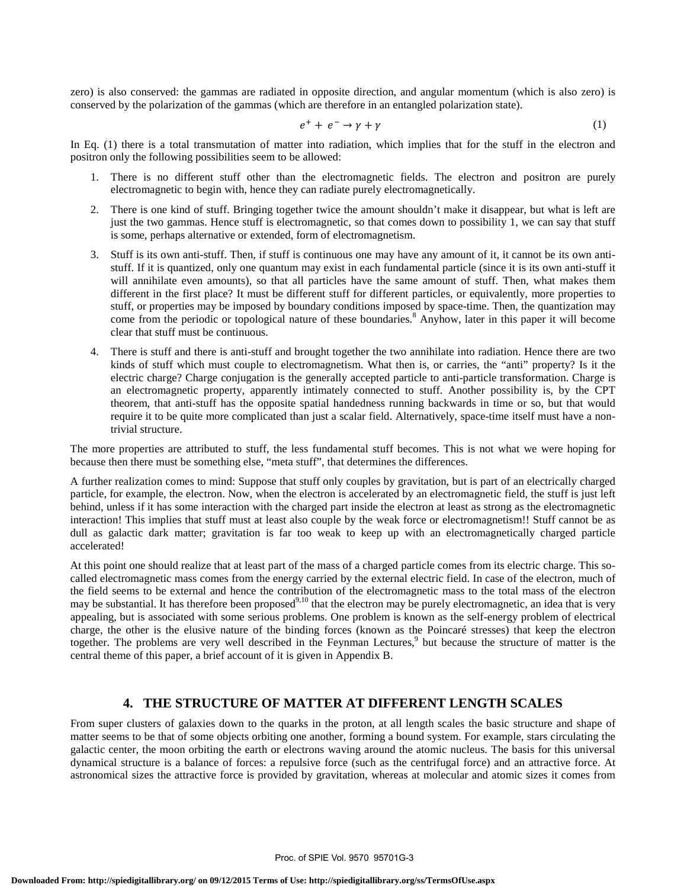zero) is also conserved: the gammas are radiated in opposite direction, and angular momentum (which is also zero) is conserved by the polarization of the gammas (which are therefore in an entangled polarization state).

$$
e^+ + e^- \to \gamma + \gamma \tag{1}
$$

In Eq. (1) there is a total transmutation of matter into radiation, which implies that for the stuff in the electron and positron only the following possibilities seem to be allowed:

- 1. There is no different stuff other than the electromagnetic fields. The electron and positron are purely electromagnetic to begin with, hence they can radiate purely electromagnetically.
- 2. There is one kind of stuff. Bringing together twice the amount shouldn't make it disappear, but what is left are just the two gammas. Hence stuff is electromagnetic, so that comes down to possibility 1, we can say that stuff is some, perhaps alternative or extended, form of electromagnetism.
- 3. Stuff is its own anti-stuff. Then, if stuff is continuous one may have any amount of it, it cannot be its own antistuff. If it is quantized, only one quantum may exist in each fundamental particle (since it is its own anti-stuff it will annihilate even amounts), so that all particles have the same amount of stuff. Then, what makes them different in the first place? It must be different stuff for different particles, or equivalently, more properties to stuff, or properties may be imposed by boundary conditions imposed by space-time. Then, the quantization may come from the periodic or topological nature of these boundaries. <sup>8</sup> Anyhow, later in this paper it will become clear that stuff must be continuous.
- 4. There is stuff and there is anti-stuff and brought together the two annihilate into radiation. Hence there are two kinds of stuff which must couple to electromagnetism. What then is, or carries, the "anti" property? Is it the electric charge? Charge conjugation is the generally accepted particle to anti-particle transformation. Charge is an electromagnetic property, apparently intimately connected to stuff. Another possibility is, by the CPT theorem, that anti-stuff has the opposite spatial handedness running backwards in time or so, but that would require it to be quite more complicated than just a scalar field. Alternatively, space-time itself must have a nontrivial structure.

The more properties are attributed to stuff, the less fundamental stuff becomes. This is not what we were hoping for because then there must be something else, "meta stuff", that determines the differences.

A further realization comes to mind: Suppose that stuff only couples by gravitation, but is part of an electrically charged particle, for example, the electron. Now, when the electron is accelerated by an electromagnetic field, the stuff is just left behind, unless if it has some interaction with the charged part inside the electron at least as strong as the electromagnetic interaction! This implies that stuff must at least also couple by the weak force or electromagnetism!! Stuff cannot be as dull as galactic dark matter; gravitation is far too weak to keep up with an electromagnetically charged particle accelerated!

At this point one should realize that at least part of the mass of a charged particle comes from its electric charge. This socalled electromagnetic mass comes from the energy carried by the external electric field. In case of the electron, much of the field seems to be external and hence the contribution of the electromagnetic mass to the total mass of the electron may be substantial. It has therefore been proposed<sup>9,10</sup> that the electron may be purely electromagnetic, an idea that is very appealing, but is associated with some serious problems. One problem is known as the self-energy problem of electrical charge, the other is the elusive nature of the binding forces (known as the Poincaré stresses) that keep the electron together. The problems are very well described in the Feynman Lectures, <sup>9</sup> but because the structure of matter is the central theme of this paper, a brief account of it is given in Appendix B.

## **4. THE STRUCTURE OF MATTER AT DIFFERENT LENGTH SCALES**

From super clusters of galaxies down to the quarks in the proton, at all length scales the basic structure and shape of matter seems to be that of some objects orbiting one another, forming a bound system. For example, stars circulating the galactic center, the moon orbiting the earth or electrons waving around the atomic nucleus. The basis for this universal dynamical structure is a balance of forces: a repulsive force (such as the centrifugal force) and an attractive force. At astronomical sizes the attractive force is provided by gravitation, whereas at molecular and atomic sizes it comes from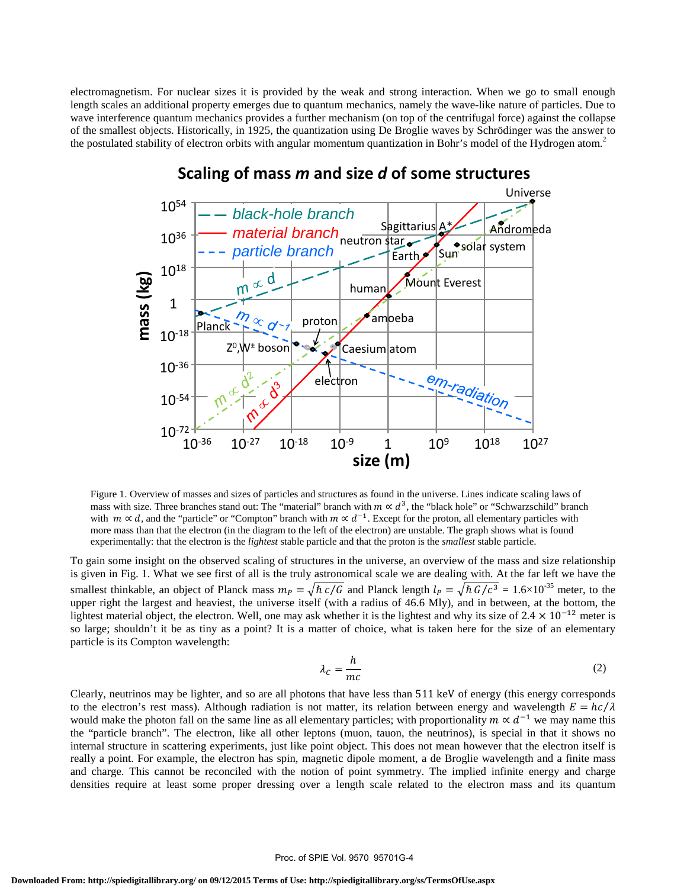electromagnetism. For nuclear sizes it is provided by the weak and strong interaction. When we go to small enough length scales an additional property emerges due to quantum mechanics, namely the wave-like nature of particles. Due to wave interference quantum mechanics provides a further mechanism (on top of the centrifugal force) against the collapse of the smallest objects. Historically, in 1925, the quantization using De Broglie waves by Schrödinger was the answer to the postulated stability of electron orbits with angular momentum quantization in Bohr's model of the Hydrogen atom.<sup>2</sup>



## **Scaling of mass** *m* **and size** *d* **of some structures**

Figure 1. Overview of masses and sizes of particles and structures as found in the universe. Lines indicate scaling laws of mass with size. Three branches stand out: The "material" branch with  $m \propto d^3$ , the "black hole" or "Schwarzschild" branch with  $m \propto d$ , and the "particle" or "Compton" branch with  $m \propto d^{-1}$ . Except for the proton, all elementary particles with more mass than that the electron (in the diagram to the left of the electron) are unstable. The graph shows what is found experimentally: that the electron is the *lightest* stable particle and that the proton is the *smallest* stable particle.

To gain some insight on the observed scaling of structures in the universe, an overview of the mass and size relationship is given in Fig. 1. What we see first of all is the truly astronomical scale we are dealing with. At the far left we have the smallest thinkable, an object of Planck mass  $m_P = \sqrt{\hbar c/G}$  and Planck length  $l_P = \sqrt{\hbar G/c^3} = 1.6 \times 10^{-35}$  meter, to the upper right the largest and heaviest, the universe itself (with a radius of 46.6 Mly), and in between, at the bottom, the lightest material object, the electron. Well, one may ask whether it is the lightest and why its size of  $2.4 \times 10^{-12}$  meter is so large; shouldn't it be as tiny as a point? It is a matter of choice, what is taken here for the size of an elementary particle is its Compton wavelength:

$$
\lambda_c = \frac{h}{mc} \tag{2}
$$

Clearly, neutrinos may be lighter, and so are all photons that have less than 511 keV of energy (this energy corresponds to the electron's rest mass). Although radiation is not matter, its relation between energy and wavelength  $E = hc/\lambda$ would make the photon fall on the same line as all elementary particles; with proportionality  $m \propto d^{-1}$  we may name this the "particle branch". The electron, like all other leptons (muon, tauon, the neutrinos), is special in that it shows no internal structure in scattering experiments, just like point object. This does not mean however that the electron itself is really a point. For example, the electron has spin, magnetic dipole moment, a de Broglie wavelength and a finite mass and charge. This cannot be reconciled with the notion of point symmetry. The implied infinite energy and charge densities require at least some proper dressing over a length scale related to the electron mass and its quantum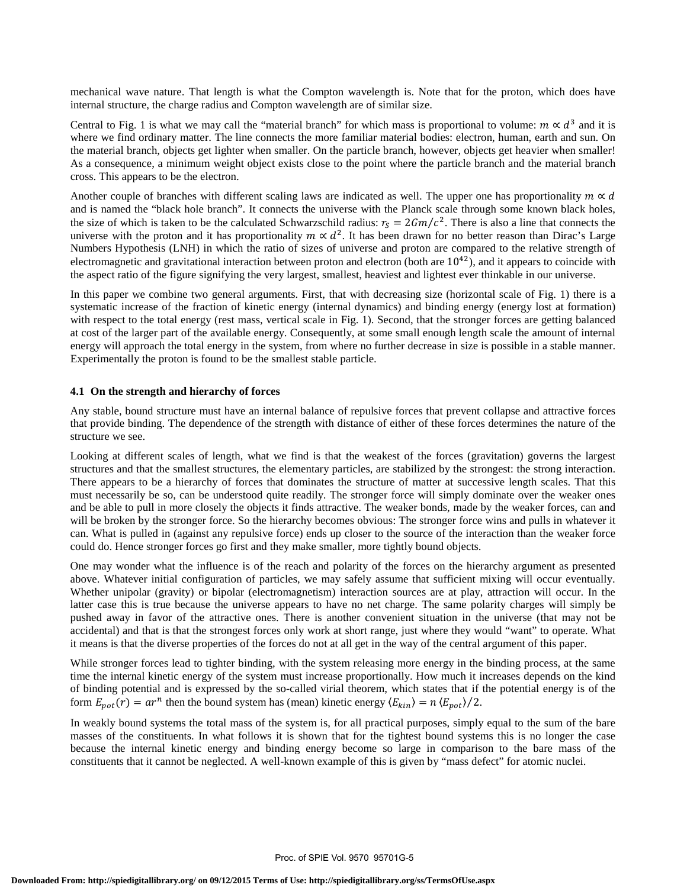mechanical wave nature. That length is what the Compton wavelength is. Note that for the proton, which does have internal structure, the charge radius and Compton wavelength are of similar size.

Central to Fig. 1 is what we may call the "material branch" for which mass is proportional to volume:  $m \propto d^3$  and it is where we find ordinary matter. The line connects the more familiar material bodies: electron, human, earth and sun. On the material branch, objects get lighter when smaller. On the particle branch, however, objects get heavier when smaller! As a consequence, a minimum weight object exists close to the point where the particle branch and the material branch cross. This appears to be the electron.

Another couple of branches with different scaling laws are indicated as well. The upper one has proportionality  $m \propto d$ and is named the "black hole branch". It connects the universe with the Planck scale through some known black holes, the size of which is taken to be the calculated Schwarzschild radius:  $r_s = 2Gm/c^2$ . There is also a line that connects the universe with the proton and it has proportionality  $m \propto d^2$ . It has been drawn for no better reason than Dirac's Large Numbers Hypothesis (LNH) in which the ratio of sizes of universe and proton are compared to the relative strength of electromagnetic and gravitational interaction between proton and electron (both are  $10^{42}$ ), and it appears to coincide with the aspect ratio of the figure signifying the very largest, smallest, heaviest and lightest ever thinkable in our universe.

In this paper we combine two general arguments. First, that with decreasing size (horizontal scale of Fig. 1) there is a systematic increase of the fraction of kinetic energy (internal dynamics) and binding energy (energy lost at formation) with respect to the total energy (rest mass, vertical scale in Fig. 1). Second, that the stronger forces are getting balanced at cost of the larger part of the available energy. Consequently, at some small enough length scale the amount of internal energy will approach the total energy in the system, from where no further decrease in size is possible in a stable manner. Experimentally the proton is found to be the smallest stable particle.

### **4.1 On the strength and hierarchy of forces**

Any stable, bound structure must have an internal balance of repulsive forces that prevent collapse and attractive forces that provide binding. The dependence of the strength with distance of either of these forces determines the nature of the structure we see.

Looking at different scales of length, what we find is that the weakest of the forces (gravitation) governs the largest structures and that the smallest structures, the elementary particles, are stabilized by the strongest: the strong interaction. There appears to be a hierarchy of forces that dominates the structure of matter at successive length scales. That this must necessarily be so, can be understood quite readily. The stronger force will simply dominate over the weaker ones and be able to pull in more closely the objects it finds attractive. The weaker bonds, made by the weaker forces, can and will be broken by the stronger force. So the hierarchy becomes obvious: The stronger force wins and pulls in whatever it can. What is pulled in (against any repulsive force) ends up closer to the source of the interaction than the weaker force could do. Hence stronger forces go first and they make smaller, more tightly bound objects.

One may wonder what the influence is of the reach and polarity of the forces on the hierarchy argument as presented above. Whatever initial configuration of particles, we may safely assume that sufficient mixing will occur eventually. Whether unipolar (gravity) or bipolar (electromagnetism) interaction sources are at play, attraction will occur. In the latter case this is true because the universe appears to have no net charge. The same polarity charges will simply be pushed away in favor of the attractive ones. There is another convenient situation in the universe (that may not be accidental) and that is that the strongest forces only work at short range, just where they would "want" to operate. What it means is that the diverse properties of the forces do not at all get in the way of the central argument of this paper.

While stronger forces lead to tighter binding, with the system releasing more energy in the binding process, at the same time the internal kinetic energy of the system must increase proportionally. How much it increases depends on the kind of binding potential and is expressed by the so-called virial theorem, which states that if the potential energy is of the form  $E_{pot}(r) = ar^n$  then the bound system has (mean) kinetic energy  $\langle E_{kin} \rangle = n \langle E_{pot} \rangle / 2$ .

In weakly bound systems the total mass of the system is, for all practical purposes, simply equal to the sum of the bare masses of the constituents. In what follows it is shown that for the tightest bound systems this is no longer the case because the internal kinetic energy and binding energy become so large in comparison to the bare mass of the constituents that it cannot be neglected. A well-known example of this is given by "mass defect" for atomic nuclei.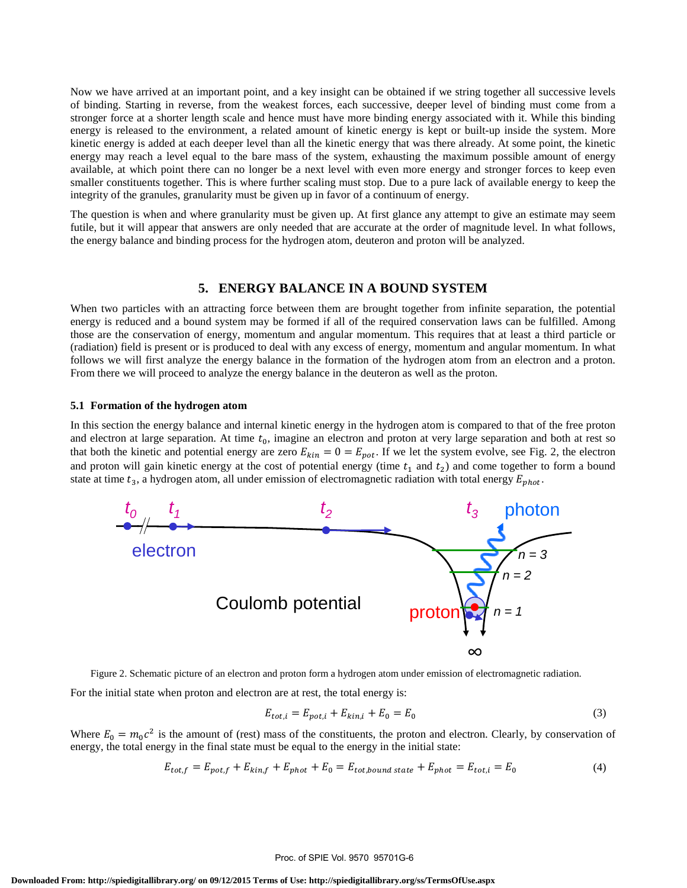Now we have arrived at an important point, and a key insight can be obtained if we string together all successive levels of binding. Starting in reverse, from the weakest forces, each successive, deeper level of binding must come from a stronger force at a shorter length scale and hence must have more binding energy associated with it. While this binding energy is released to the environment, a related amount of kinetic energy is kept or built-up inside the system. More kinetic energy is added at each deeper level than all the kinetic energy that was there already. At some point, the kinetic energy may reach a level equal to the bare mass of the system, exhausting the maximum possible amount of energy available, at which point there can no longer be a next level with even more energy and stronger forces to keep even smaller constituents together. This is where further scaling must stop. Due to a pure lack of available energy to keep the integrity of the granules, granularity must be given up in favor of a continuum of energy.

The question is when and where granularity must be given up. At first glance any attempt to give an estimate may seem futile, but it will appear that answers are only needed that are accurate at the order of magnitude level. In what follows, the energy balance and binding process for the hydrogen atom, deuteron and proton will be analyzed.

### **5. ENERGY BALANCE IN A BOUND SYSTEM**

When two particles with an attracting force between them are brought together from infinite separation, the potential energy is reduced and a bound system may be formed if all of the required conservation laws can be fulfilled. Among those are the conservation of energy, momentum and angular momentum. This requires that at least a third particle or (radiation) field is present or is produced to deal with any excess of energy, momentum and angular momentum. In what follows we will first analyze the energy balance in the formation of the hydrogen atom from an electron and a proton. From there we will proceed to analyze the energy balance in the deuteron as well as the proton.

#### **5.1 Formation of the hydrogen atom**

In this section the energy balance and internal kinetic energy in the hydrogen atom is compared to that of the free proton and electron at large separation. At time  $t_0$ , imagine an electron and proton at very large separation and both at rest so that both the kinetic and potential energy are zero  $E_{kin} = 0 = E_{pot}$ . If we let the system evolve, see Fig. 2, the electron and proton will gain kinetic energy at the cost of potential energy (time  $t_1$  and  $t_2$ ) and come together to form a bound state at time  $t_3$ , a hydrogen atom, all under emission of electromagnetic radiation with total energy  $E_{phot}$ .



Figure 2. Schematic picture of an electron and proton form a hydrogen atom under emission of electromagnetic radiation.

For the initial state when proton and electron are at rest, the total energy is:

$$
E_{tot,i} = E_{pot,i} + E_{kin,i} + E_0 = E_0
$$
\n(3)

Where  $E_0 = m_0 c^2$  is the amount of (rest) mass of the constituents, the proton and electron. Clearly, by conservation of energy, the total energy in the final state must be equal to the energy in the initial state:

$$
E_{tot,f} = E_{pot,f} + E_{kin,f} + E_{phot} + E_0 = E_{tot,bound state} + E_{phot} = E_{tot,i} = E_0
$$
\n
$$
\tag{4}
$$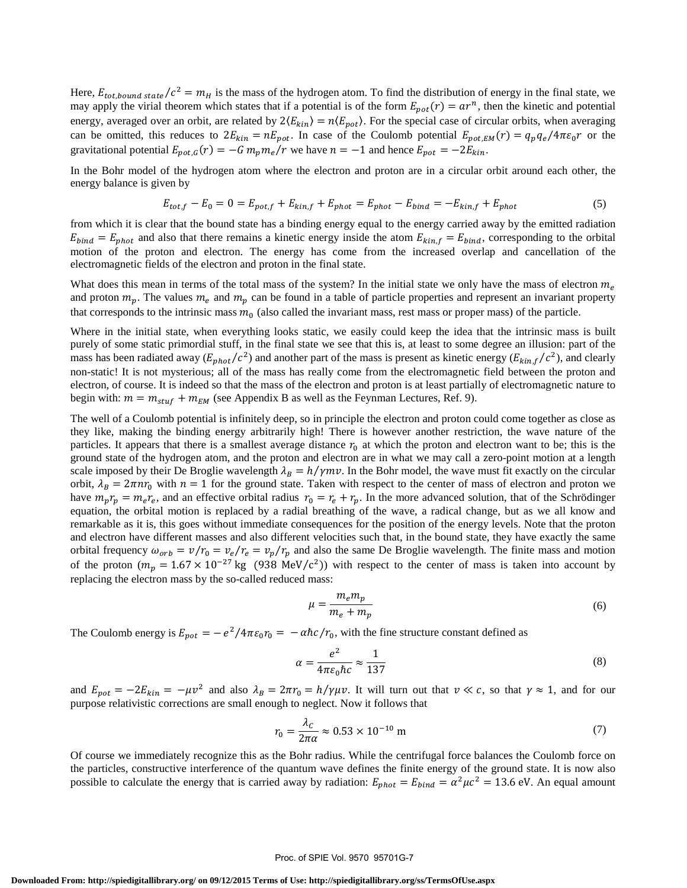Here,  $E_{tot, bound state}/c^2 = m_H$  is the mass of the hydrogen atom. To find the distribution of energy in the final state, we may apply the virial theorem which states that if a potential is of the form  $E_{pot}(r) = ar^n$ , then the kinetic and potential energy, averaged over an orbit, are related by  $2\langle E_{kin}\rangle = n\langle E_{pot}\rangle$ . For the special case of circular orbits, when averaging can be omitted, this reduces to  $2E_{kin} = nE_{pot}$ . In case of the Coulomb potential  $E_{pot,EM}(r) = q_p q_e / 4\pi \epsilon_0 r$  or the gravitational potential  $E_{pot,G}(r) = -G m_p m_e/r$  we have  $n = -1$  and hence  $E_{pot} = -2E_{kin}$ .

In the Bohr model of the hydrogen atom where the electron and proton are in a circular orbit around each other, the energy balance is given by

$$
E_{tot,f} - E_0 = 0 = E_{pot,f} + E_{kin,f} + E_{phot} = E_{phot} - E_{bind} = -E_{kin,f} + E_{phot}
$$
\n
$$
\tag{5}
$$

from which it is clear that the bound state has a binding energy equal to the energy carried away by the emitted radiation  $E_{bind} = E_{phot}$  and also that there remains a kinetic energy inside the atom  $E_{kin,f} = E_{bind}$ , corresponding to the orbital motion of the proton and electron. The energy has come from the increased overlap and cancellation of the electromagnetic fields of the electron and proton in the final state.

What does this mean in terms of the total mass of the system? In the initial state we only have the mass of electron  $m_e$ and proton  $m_p$ . The values  $m_e$  and  $m_p$  can be found in a table of particle properties and represent an invariant property that corresponds to the intrinsic mass  $m_0$  (also called the invariant mass, rest mass or proper mass) of the particle.

Where in the initial state, when everything looks static, we easily could keep the idea that the intrinsic mass is built purely of some static primordial stuff, in the final state we see that this is, at least to some degree an illusion: part of the mass has been radiated away ( $E_{phot}/c^2$ ) and another part of the mass is present as kinetic energy ( $E_{kin,f}/c^2$ ), and clearly non-static! It is not mysterious; all of the mass has really come from the electromagnetic field between the proton and electron, of course. It is indeed so that the mass of the electron and proton is at least partially of electromagnetic nature to begin with:  $m = m_{\text{stuf}} + m_{\text{EM}}$  (see Appendix B as well as the Feynman Lectures, Ref. 9).

The well of a Coulomb potential is infinitely deep, so in principle the electron and proton could come together as close as they like, making the binding energy arbitrarily high! There is however another restriction, the wave nature of the particles. It appears that there is a smallest average distance  $r_0$  at which the proton and electron want to be; this is the ground state of the hydrogen atom, and the proton and electron are in what we may call a zero-point motion at a length scale imposed by their De Broglie wavelength  $\lambda_B = h/\gamma mv$ . In the Bohr model, the wave must fit exactly on the circular orbit,  $\lambda_B = 2\pi n r_0$  with  $n = 1$  for the ground state. Taken with respect to the center of mass of electron and proton we have  $m_p r_p = m_e r_e$ , and an effective orbital radius  $r_0 = r_e + r_p$ . In the more advanced solution, that of the Schrödinger equation, the orbital motion is replaced by a radial breathing of the wave, a radical change, but as we all know and remarkable as it is, this goes without immediate consequences for the position of the energy levels. Note that the proton and electron have different masses and also different velocities such that, in the bound state, they have exactly the same orbital frequency  $\omega_{orb} = v/r_0 = v_e/r_e = v_p/r_p$  and also the same De Broglie wavelength. The finite mass and motion of the proton ( $m_p = 1.67 \times 10^{-27}$  kg (938 MeV/c<sup>2</sup>)) with respect to the center of mass is taken into account by replacing the electron mass by the so-called reduced mass:

$$
\mu = \frac{m_e m_p}{m_e + m_p} \tag{6}
$$

The Coulomb energy is  $E_{pot} = -e^2/4\pi\varepsilon_0 r_0 = -\alpha\hbar c/r_0$ , with the fine structure constant defined as

$$
\alpha = \frac{e^2}{4\pi\varepsilon_0\hbar c} \approx \frac{1}{137}
$$
\n(8)

and  $E_{pot} = -2E_{kin} = -\mu v^2$  and also  $\lambda_B = 2\pi r_0 = h/\gamma \mu v$ . It will turn out that  $v \ll c$ , so that  $\gamma \approx 1$ , and for our purpose relativistic corrections are small enough to neglect. Now it follows that

$$
r_0 = \frac{\lambda_c}{2\pi\alpha} \approx 0.53 \times 10^{-10} \,\mathrm{m} \tag{7}
$$

Of course we immediately recognize this as the Bohr radius. While the centrifugal force balances the Coulomb force on the particles, constructive interference of the quantum wave defines the finite energy of the ground state. It is now also possible to calculate the energy that is carried away by radiation:  $E_{phot} = E_{bind} = \alpha^2 \mu c^2 = 13.6 \text{ eV}$ . An equal amount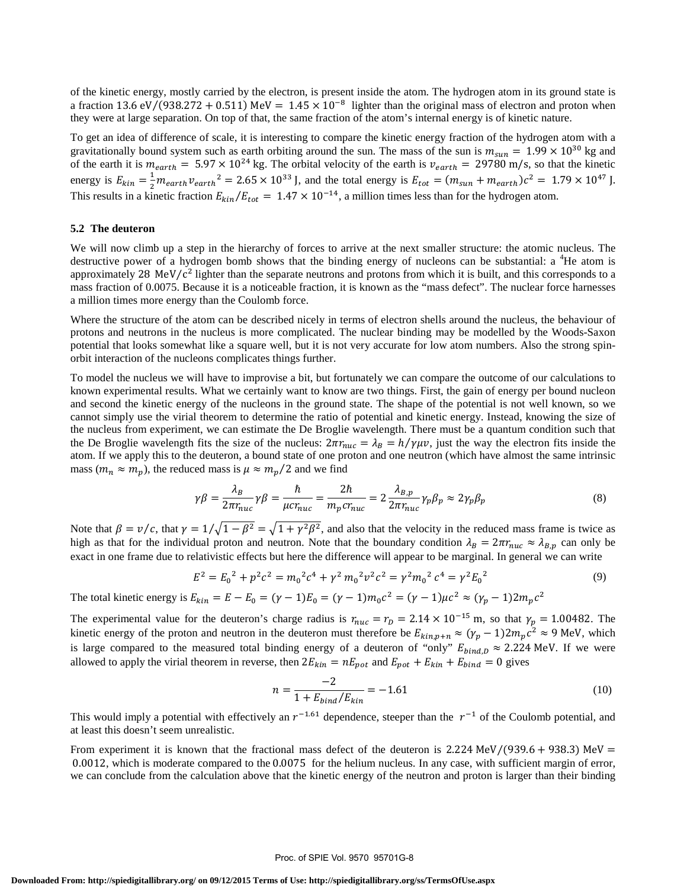of the kinetic energy, mostly carried by the electron, is present inside the atom. The hydrogen atom in its ground state is a fraction 13.6 eV/(938.272 + 0.511) MeV =  $1.45 \times 10^{-8}$  lighter than the original mass of electron and proton when they were at large separation. On top of that, the same fraction of the atom's internal energy is of kinetic nature.

To get an idea of difference of scale, it is interesting to compare the kinetic energy fraction of the hydrogen atom with a gravitationally bound system such as earth orbiting around the sun. The mass of the sun is  $m_{sun} = 1.99 \times 10^{30}$  kg and of the earth it is  $m_{earth} = 5.97 \times 10^{24}$  kg. The orbital velocity of the earth is  $v_{earth} = 29780$  m/s, so that the kinetic energy is  $E_{kin} = \frac{1}{2} m_{earth} v_{earth}^2 = 2.65 \times 10^{33}$  J, and the total energy is  $E_{tot} = (m_{sun} + m_{earth})c^2 = 1.79 \times 10^{47}$  J. This results in a kinetic fraction  $E_{kin}/E_{tot} = 1.47 \times 10^{-14}$ , a million times less than for the hydrogen atom.

### **5.2 The deuteron**

We will now climb up a step in the hierarchy of forces to arrive at the next smaller structure: the atomic nucleus. The destructive power of a hydrogen bomb shows that the binding energy of nucleons can be substantial: a <sup>4</sup>He atom is approximately 28 MeV/ $c<sup>2</sup>$  lighter than the separate neutrons and protons from which it is built, and this corresponds to a mass fraction of 0.0075. Because it is a noticeable fraction, it is known as the "mass defect". The nuclear force harnesses a million times more energy than the Coulomb force.

Where the structure of the atom can be described nicely in terms of electron shells around the nucleus, the behaviour of protons and neutrons in the nucleus is more complicated. The nuclear binding may be modelled by the Woods-Saxon potential that looks somewhat like a square well, but it is not very accurate for low atom numbers. Also the strong spinorbit interaction of the nucleons complicates things further.

To model the nucleus we will have to improvise a bit, but fortunately we can compare the outcome of our calculations to known experimental results. What we certainly want to know are two things. First, the gain of energy per bound nucleon and second the kinetic energy of the nucleons in the ground state. The shape of the potential is not well known, so we cannot simply use the virial theorem to determine the ratio of potential and kinetic energy. Instead, knowing the size of the nucleus from experiment, we can estimate the De Broglie wavelength. There must be a quantum condition such that the De Broglie wavelength fits the size of the nucleus:  $2\pi r_{nuc} = \lambda_B = h/\gamma \mu v$ , just the way the electron fits inside the atom. If we apply this to the deuteron, a bound state of one proton and one neutron (which have almost the same intrinsic mass ( $m_n \approx m_p$ ), the reduced mass is  $\mu \approx m_p/2$  and we find

$$
\gamma \beta = \frac{\lambda_B}{2\pi r_{nuc}} \gamma \beta = \frac{\hbar}{\mu c r_{nuc}} = \frac{2\hbar}{m_p c r_{nuc}} = 2 \frac{\lambda_{B,p}}{2\pi r_{nuc}} \gamma_p \beta_p \approx 2 \gamma_p \beta_p \tag{8}
$$

Note that  $\beta = v/c$ , that  $\gamma = 1/\sqrt{1 - \beta^2} = \sqrt{1 + \gamma^2 \beta^2}$ , and also that the velocity in the reduced mass frame is twice as high as that for the individual proton and neutron. Note that the boundary condition  $\lambda_B = 2\pi r_{nuc} \approx \lambda_{B,p}$  can only be exact in one frame due to relativistic effects but here the difference will appear to be marginal. In general we can write

$$
E^{2} = E_{0}^{2} + p^{2}c^{2} = m_{0}^{2}c^{4} + \gamma^{2}m_{0}^{2}v^{2}c^{2} = \gamma^{2}m_{0}^{2}c^{4} = \gamma^{2}E_{0}^{2}
$$
 (9)

The total kinetic energy is  $E_{kin} = E - E_0 = (\gamma - 1)E_0 = (\gamma - 1)m_0c^2 = (\gamma - 1)\mu c^2 \approx (\gamma_p - 1)2m_p c^2$ 

The experimental value for the deuteron's charge radius is  $r_{nuc} = r_D = 2.14 \times 10^{-15}$  m, so that  $\gamma_p = 1.00482$ . The kinetic energy of the proton and neutron in the deuteron must therefore be  $E_{kin,p+n} \approx (\gamma_p - 1)2m_p c^2 \approx 9$  MeV, which is large compared to the measured total binding energy of a deuteron of "only"  $E_{bind,D} \approx 2.224$  MeV. If we were allowed to apply the virial theorem in reverse, then  $2E_{kin} = nE_{pot}$  and  $E_{pot} + E_{kin} + E_{bind} = 0$  gives

$$
n = \frac{-2}{1 + E_{bind}/E_{kin}} = -1.61\tag{10}
$$

This would imply a potential with effectively an  $r^{-1.61}$  dependence, steeper than the  $r^{-1}$  of the Coulomb potential, and at least this doesn't seem unrealistic.

From experiment it is known that the fractional mass defect of the deuteron is  $2.224 \text{ MeV}/(939.6 + 938.3) \text{ MeV} =$ 0.0012, which is moderate compared to the 0.0075 for the helium nucleus. In any case, with sufficient margin of error, we can conclude from the calculation above that the kinetic energy of the neutron and proton is larger than their binding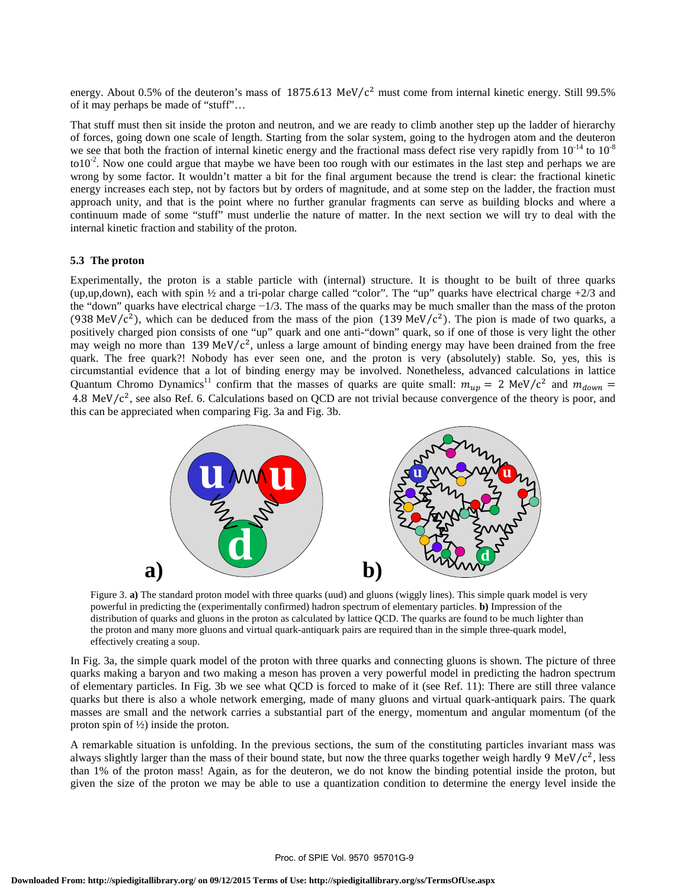energy. About 0.5% of the deuteron's mass of 1875.613 MeV/ $c^2$  must come from internal kinetic energy. Still 99.5% of it may perhaps be made of "stuff"…

That stuff must then sit inside the proton and neutron, and we are ready to climb another step up the ladder of hierarchy of forces, going down one scale of length. Starting from the solar system, going to the hydrogen atom and the deuteron we see that both the fraction of internal kinetic energy and the fractional mass defect rise very rapidly from  $10^{-14}$  to  $10^{-8}$ to10 $2$ . Now one could argue that maybe we have been too rough with our estimates in the last step and perhaps we are wrong by some factor. It wouldn't matter a bit for the final argument because the trend is clear: the fractional kinetic energy increases each step, not by factors but by orders of magnitude, and at some step on the ladder, the fraction must approach unity, and that is the point where no further granular fragments can serve as building blocks and where a continuum made of some "stuff" must underlie the nature of matter. In the next section we will try to deal with the internal kinetic fraction and stability of the proton.

### **5.3 The proton**

Experimentally, the proton is a stable particle with (internal) structure. It is thought to be built of three quarks (up,up,down), each with spin  $\frac{1}{2}$  and a tri-polar charge called "color". The "up" quarks have electrical charge  $+2/3$  and the "down" quarks have electrical charge −1/3. The mass of the quarks may be much smaller than the mass of the proton (938 MeV/ $c^2$ ), which can be deduced from the mass of the pion (139 MeV/ $c^2$ ). The pion is made of two quarks, a positively charged pion consists of one "up" quark and one anti-"down" quark, so if one of those is very light the other may weigh no more than 139 MeV/ $c^2$ , unless a large amount of binding energy may have been drained from the free quark. The free quark?! Nobody has ever seen one, and the proton is very (absolutely) stable. So, yes, this is circumstantial evidence that a lot of binding energy may be involved. Nonetheless, advanced calculations in lattice Quantum Chromo Dynamics<sup>11</sup> confirm that the masses of quarks are quite small:  $m_{up} = 2 \text{ MeV}/c^2$  and  $m_{down} =$ 4.8 MeV/ $c^2$ , see also Ref. 6. Calculations based on QCD are not trivial because convergence of the theory is poor, and this can be appreciated when comparing Fig. 3a and Fig. 3b.



Figure 3. **a)** The standard proton model with three quarks (uud) and gluons (wiggly lines). This simple quark model is very powerful in predicting the (experimentally confirmed) hadron spectrum of elementary particles. **b)** Impression of the distribution of quarks and gluons in the proton as calculated by lattice QCD. The quarks are found to be much lighter than the proton and many more gluons and virtual quark-antiquark pairs are required than in the simple three-quark model, effectively creating a soup.

In Fig. 3a, the simple quark model of the proton with three quarks and connecting gluons is shown. The picture of three quarks making a baryon and two making a meson has proven a very powerful model in predicting the hadron spectrum of elementary particles. In Fig. 3b we see what QCD is forced to make of it (see Ref. 11): There are still three valance quarks but there is also a whole network emerging, made of many gluons and virtual quark-antiquark pairs. The quark masses are small and the network carries a substantial part of the energy, momentum and angular momentum (of the proton spin of ½) inside the proton.

A remarkable situation is unfolding. In the previous sections, the sum of the constituting particles invariant mass was always slightly larger than the mass of their bound state, but now the three quarks together weigh hardly 9 MeV/ $c^2$ , less than 1% of the proton mass! Again, as for the deuteron, we do not know the binding potential inside the proton, but given the size of the proton we may be able to use a quantization condition to determine the energy level inside the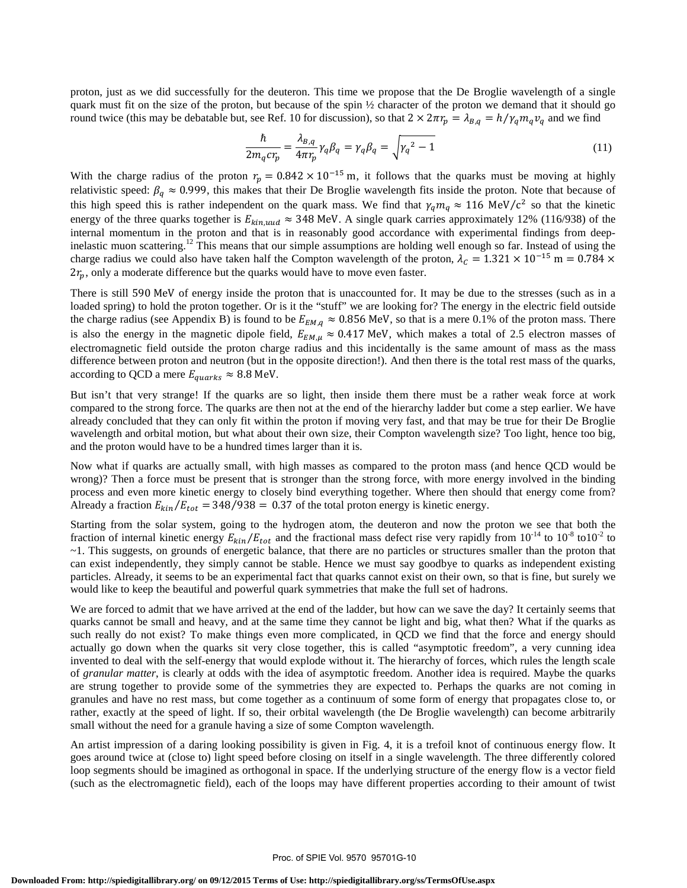proton, just as we did successfully for the deuteron. This time we propose that the De Broglie wavelength of a single quark must fit on the size of the proton, but because of the spin  $\frac{1}{2}$  character of the proton we demand that it should go round twice (this may be debatable but, see Ref. 10 for discussion), so that  $2 \times 2\pi r_p = \lambda_{B,q} = h/\gamma_q m_q v_q$  and we find

$$
\frac{\hbar}{2m_qcr_p} = \frac{\lambda_{B,q}}{4\pi r_p} \gamma_q \beta_q = \gamma_q \beta_q = \sqrt{\gamma_q^2 - 1} \tag{11}
$$

With the charge radius of the proton  $r_p = 0.842 \times 10^{-15}$  m, it follows that the quarks must be moving at highly relativistic speed:  $\beta_q \approx 0.999$ , this makes that their De Broglie wavelength fits inside the proton. Note that because of this high speed this is rather independent on the quark mass. We find that  $\gamma_q m_q \approx 116 \text{ MeV}/c^2$  so that the kinetic energy of the three quarks together is  $E_{kin, uud} \approx 348$  MeV. A single quark carries approximately 12% (116/938) of the internal momentum in the proton and that is in reasonably good accordance with experimental findings from deepinelastic muon scattering.<sup>12</sup> This means that our simple assumptions are holding well enough so far. Instead of using the charge radius we could also have taken half the Compton wavelength of the proton,  $\lambda_c = 1.321 \times 10^{-15}$  m = 0.784 ×  $2r_n$ , only a moderate difference but the quarks would have to move even faster.

There is still 590 MeV of energy inside the proton that is unaccounted for. It may be due to the stresses (such as in a loaded spring) to hold the proton together. Or is it the "stuff" we are looking for? The energy in the electric field outside the charge radius (see Appendix B) is found to be  $E_{EM,q} \approx 0.856$  MeV, so that is a mere 0.1% of the proton mass. There is also the energy in the magnetic dipole field,  $E_{EM,\mu} \approx 0.417$  MeV, which makes a total of 2.5 electron masses of electromagnetic field outside the proton charge radius and this incidentally is the same amount of mass as the mass difference between proton and neutron (but in the opposite direction!). And then there is the total rest mass of the quarks, according to QCD a mere  $E_{quarks} \approx 8.8$  MeV.

But isn't that very strange! If the quarks are so light, then inside them there must be a rather weak force at work compared to the strong force. The quarks are then not at the end of the hierarchy ladder but come a step earlier. We have already concluded that they can only fit within the proton if moving very fast, and that may be true for their De Broglie wavelength and orbital motion, but what about their own size, their Compton wavelength size? Too light, hence too big, and the proton would have to be a hundred times larger than it is.

Now what if quarks are actually small, with high masses as compared to the proton mass (and hence QCD would be wrong)? Then a force must be present that is stronger than the strong force, with more energy involved in the binding process and even more kinetic energy to closely bind everything together. Where then should that energy come from? Already a fraction  $E_{kin}/E_{tot} = 348/938 = 0.37$  of the total proton energy is kinetic energy.

Starting from the solar system, going to the hydrogen atom, the deuteron and now the proton we see that both the fraction of internal kinetic energy  $E_{kin}/E_{tot}$  and the fractional mass defect rise very rapidly from  $10^{-14}$  to  $10^{-8}$  to $10^{-2}$  to ~1. This suggests, on grounds of energetic balance, that there are no particles or structures smaller than the proton that can exist independently, they simply cannot be stable. Hence we must say goodbye to quarks as independent existing particles. Already, it seems to be an experimental fact that quarks cannot exist on their own, so that is fine, but surely we would like to keep the beautiful and powerful quark symmetries that make the full set of hadrons.

We are forced to admit that we have arrived at the end of the ladder, but how can we save the day? It certainly seems that quarks cannot be small and heavy, and at the same time they cannot be light and big, what then? What if the quarks as such really do not exist? To make things even more complicated, in QCD we find that the force and energy should actually go down when the quarks sit very close together, this is called "asymptotic freedom", a very cunning idea invented to deal with the self-energy that would explode without it. The hierarchy of forces, which rules the length scale of *granular matter*, is clearly at odds with the idea of asymptotic freedom. Another idea is required. Maybe the quarks are strung together to provide some of the symmetries they are expected to. Perhaps the quarks are not coming in granules and have no rest mass, but come together as a continuum of some form of energy that propagates close to, or rather, exactly at the speed of light. If so, their orbital wavelength (the De Broglie wavelength) can become arbitrarily small without the need for a granule having a size of some Compton wavelength.

An artist impression of a daring looking possibility is given in Fig. 4, it is a trefoil knot of continuous energy flow. It goes around twice at (close to) light speed before closing on itself in a single wavelength. The three differently colored loop segments should be imagined as orthogonal in space. If the underlying structure of the energy flow is a vector field (such as the electromagnetic field), each of the loops may have different properties according to their amount of twist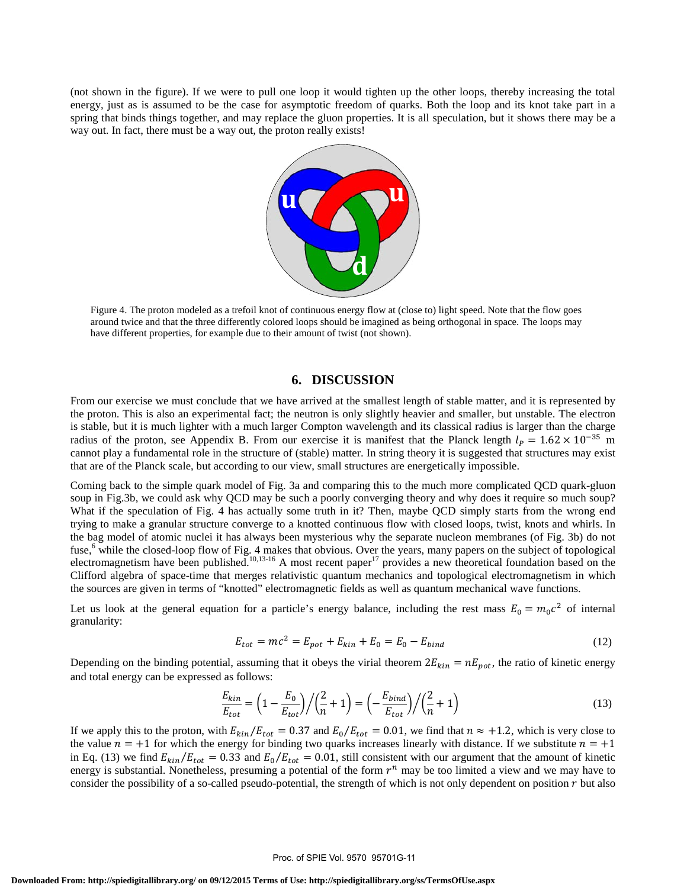(not shown in the figure). If we were to pull one loop it would tighten up the other loops, thereby increasing the total energy, just as is assumed to be the case for asymptotic freedom of quarks. Both the loop and its knot take part in a spring that binds things together, and may replace the gluon properties. It is all speculation, but it shows there may be a way out. In fact, there must be a way out, the proton really exists!



Figure 4. The proton modeled as a trefoil knot of continuous energy flow at (close to) light speed. Note that the flow goes around twice and that the three differently colored loops should be imagined as being orthogonal in space. The loops may have different properties, for example due to their amount of twist (not shown).

### **6. DISCUSSION**

From our exercise we must conclude that we have arrived at the smallest length of stable matter, and it is represented by the proton. This is also an experimental fact; the neutron is only slightly heavier and smaller, but unstable. The electron is stable, but it is much lighter with a much larger Compton wavelength and its classical radius is larger than the charge radius of the proton, see Appendix B. From our exercise it is manifest that the Planck length  $l_p = 1.62 \times 10^{-35}$  m cannot play a fundamental role in the structure of (stable) matter. In string theory it is suggested that structures may exist that are of the Planck scale, but according to our view, small structures are energetically impossible.

Coming back to the simple quark model of Fig. 3a and comparing this to the much more complicated QCD quark-gluon soup in Fig.3b, we could ask why QCD may be such a poorly converging theory and why does it require so much soup? What if the speculation of Fig. 4 has actually some truth in it? Then, maybe QCD simply starts from the wrong end trying to make a granular structure converge to a knotted continuous flow with closed loops, twist, knots and whirls. In the bag model of atomic nuclei it has always been mysterious why the separate nucleon membranes (of Fig. 3b) do not fuse,<sup>6</sup> while the closed-loop flow of Fig. 4 makes that obvious. Over the years, many papers on the subject of topological electromagnetism have been published.<sup>10,13-16</sup> A most recent paper<sup>17</sup> provides a new theoretical foundation based on the Clifford algebra of space-time that merges relativistic quantum mechanics and topological electromagnetism in which the sources are given in terms of "knotted" electromagnetic fields as well as quantum mechanical wave functions.

Let us look at the general equation for a particle's energy balance, including the rest mass  $E_0 = m_0 c^2$  of internal granularity:

$$
E_{tot} = mc^2 = E_{pot} + E_{kin} + E_0 = E_0 - E_{bind}
$$
\n(12)

Depending on the binding potential, assuming that it obeys the virial theorem  $2E_{kin} = nE_{pot}$ , the ratio of kinetic energy and total energy can be expressed as follows:

$$
\frac{E_{kin}}{E_{tot}} = \left(1 - \frac{E_0}{E_{tot}}\right) \Big/ \left(\frac{2}{n} + 1\right) = \left(-\frac{E_{bind}}{E_{tot}}\right) \Big/ \left(\frac{2}{n} + 1\right) \tag{13}
$$

If we apply this to the proton, with  $E_{kin}/E_{tot} = 0.37$  and  $E_0/E_{tot} = 0.01$ , we find that  $n \approx +1.2$ , which is very close to the value  $n = +1$  for which the energy for binding two quarks increases linearly with distance. If we substitute  $n = +1$ in Eq. (13) we find  $E_{kin}/E_{tot} = 0.33$  and  $E_0/E_{tot} = 0.01$ , still consistent with our argument that the amount of kinetic energy is substantial. Nonetheless, presuming a potential of the form  $r^n$  may be too limited a view and we may have to consider the possibility of a so-called pseudo-potential, the strength of which is not only dependent on position  $r$  but also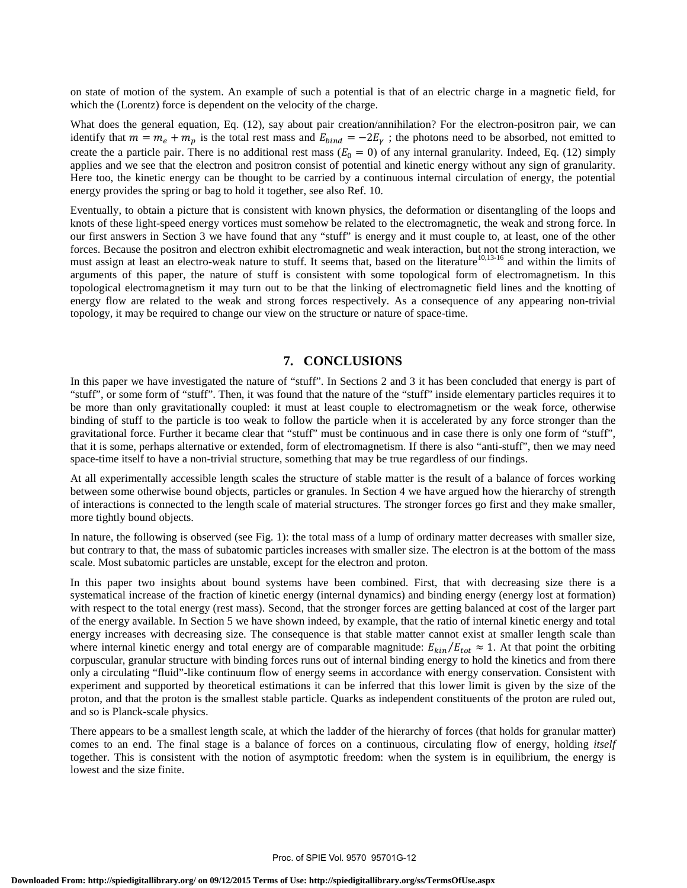on state of motion of the system. An example of such a potential is that of an electric charge in a magnetic field, for which the (Lorentz) force is dependent on the velocity of the charge.

What does the general equation, Eq. (12), say about pair creation/annihilation? For the electron-positron pair, we can identify that  $m = m_e + m_p$  is the total rest mass and  $E_{bind} = -2E_\gamma$ ; the photons need to be absorbed, not emitted to create the a particle pair. There is no additional rest mass ( $E_0 = 0$ ) of any internal granularity. Indeed, Eq. (12) simply applies and we see that the electron and positron consist of potential and kinetic energy without any sign of granularity. Here too, the kinetic energy can be thought to be carried by a continuous internal circulation of energy, the potential energy provides the spring or bag to hold it together, see also Ref. 10.

Eventually, to obtain a picture that is consistent with known physics, the deformation or disentangling of the loops and knots of these light-speed energy vortices must somehow be related to the electromagnetic, the weak and strong force. In our first answers in Section 3 we have found that any "stuff" is energy and it must couple to, at least, one of the other forces. Because the positron and electron exhibit electromagnetic and weak interaction, but not the strong interaction, we must assign at least an electro-weak nature to stuff. It seems that, based on the literature<sup>10,13-16</sup> and within the limits of arguments of this paper, the nature of stuff is consistent with some topological form of electromagnetism. In this topological electromagnetism it may turn out to be that the linking of electromagnetic field lines and the knotting of energy flow are related to the weak and strong forces respectively. As a consequence of any appearing non-trivial topology, it may be required to change our view on the structure or nature of space-time.

### **7. CONCLUSIONS**

In this paper we have investigated the nature of "stuff". In Sections 2 and 3 it has been concluded that energy is part of "stuff", or some form of "stuff". Then, it was found that the nature of the "stuff" inside elementary particles requires it to be more than only gravitationally coupled: it must at least couple to electromagnetism or the weak force, otherwise binding of stuff to the particle is too weak to follow the particle when it is accelerated by any force stronger than the gravitational force. Further it became clear that "stuff" must be continuous and in case there is only one form of "stuff", that it is some, perhaps alternative or extended, form of electromagnetism. If there is also "anti-stuff", then we may need space-time itself to have a non-trivial structure, something that may be true regardless of our findings.

At all experimentally accessible length scales the structure of stable matter is the result of a balance of forces working between some otherwise bound objects, particles or granules. In Section 4 we have argued how the hierarchy of strength of interactions is connected to the length scale of material structures. The stronger forces go first and they make smaller, more tightly bound objects.

In nature, the following is observed (see Fig. 1): the total mass of a lump of ordinary matter decreases with smaller size, but contrary to that, the mass of subatomic particles increases with smaller size. The electron is at the bottom of the mass scale. Most subatomic particles are unstable, except for the electron and proton.

In this paper two insights about bound systems have been combined. First, that with decreasing size there is a systematical increase of the fraction of kinetic energy (internal dynamics) and binding energy (energy lost at formation) with respect to the total energy (rest mass). Second, that the stronger forces are getting balanced at cost of the larger part of the energy available. In Section 5 we have shown indeed, by example, that the ratio of internal kinetic energy and total energy increases with decreasing size. The consequence is that stable matter cannot exist at smaller length scale than where internal kinetic energy and total energy are of comparable magnitude:  $E_{kin}/E_{tot} \approx 1$ . At that point the orbiting corpuscular, granular structure with binding forces runs out of internal binding energy to hold the kinetics and from there only a circulating "fluid"-like continuum flow of energy seems in accordance with energy conservation. Consistent with experiment and supported by theoretical estimations it can be inferred that this lower limit is given by the size of the proton, and that the proton is the smallest stable particle. Quarks as independent constituents of the proton are ruled out, and so is Planck-scale physics.

There appears to be a smallest length scale, at which the ladder of the hierarchy of forces (that holds for granular matter) comes to an end. The final stage is a balance of forces on a continuous, circulating flow of energy, holding *itself* together. This is consistent with the notion of asymptotic freedom: when the system is in equilibrium, the energy is lowest and the size finite.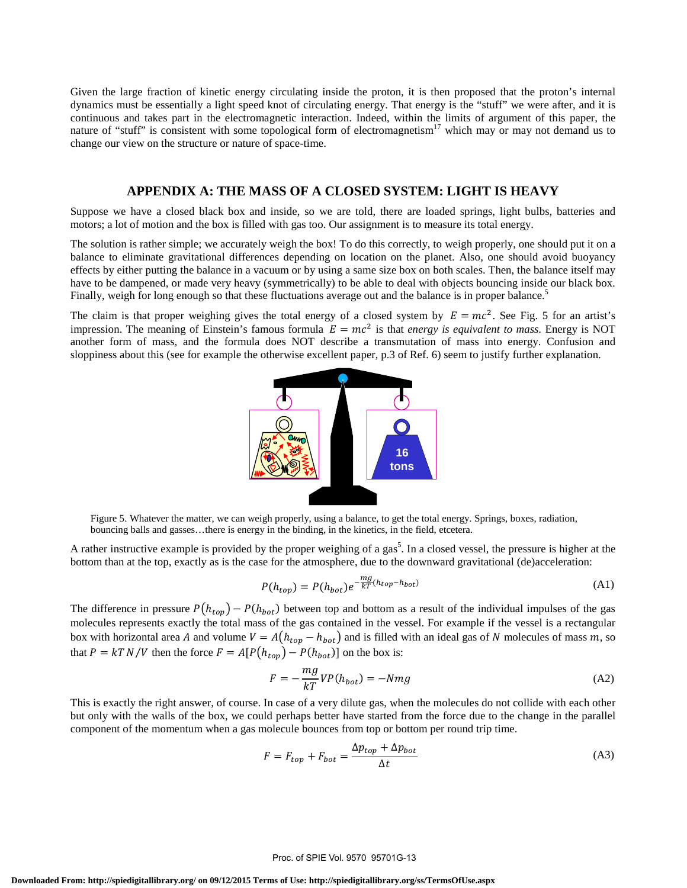Given the large fraction of kinetic energy circulating inside the proton, it is then proposed that the proton's internal dynamics must be essentially a light speed knot of circulating energy. That energy is the "stuff" we were after, and it is continuous and takes part in the electromagnetic interaction. Indeed, within the limits of argument of this paper, the nature of "stuff" is consistent with some topological form of electromagnetism<sup>17</sup> which may or may not demand us to change our view on the structure or nature of space-time.

## **APPENDIX A: THE MASS OF A CLOSED SYSTEM: LIGHT IS HEAVY**

Suppose we have a closed black box and inside, so we are told, there are loaded springs, light bulbs, batteries and motors; a lot of motion and the box is filled with gas too. Our assignment is to measure its total energy.

The solution is rather simple; we accurately weigh the box! To do this correctly, to weigh properly, one should put it on a balance to eliminate gravitational differences depending on location on the planet. Also, one should avoid buoyancy effects by either putting the balance in a vacuum or by using a same size box on both scales. Then, the balance itself may have to be dampened, or made very heavy (symmetrically) to be able to deal with objects bouncing inside our black box. Finally, weigh for long enough so that these fluctuations average out and the balance is in proper balance.<sup>5</sup>

The claim is that proper weighing gives the total energy of a closed system by  $E = mc^2$ . See Fig. 5 for an artist's impression. The meaning of Einstein's famous formula  $E = mc^2$  is that *energy is equivalent to mass*. Energy is NOT another form of mass, and the formula does NOT describe a transmutation of mass into energy. Confusion and sloppiness about this (see for example the otherwise excellent paper, p.3 of Ref. 6) seem to justify further explanation.



Figure 5. Whatever the matter, we can weigh properly, using a balance, to get the total energy. Springs, boxes, radiation, bouncing balls and gasses…there is energy in the binding, in the kinetics, in the field, etcetera.

A rather instructive example is provided by the proper weighing of a gas<sup>5</sup>. In a closed vessel, the pressure is higher at the bottom than at the top, exactly as is the case for the atmosphere, due to the downward gravitational (de)acceleration:

$$
P(h_{top}) = P(h_{bot})e^{-\frac{mg}{kT}(h_{top} - h_{bot})}
$$
\n(A1)

The difference in pressure  $P(h_{top}) - P(h_{bot})$  between top and bottom as a result of the individual impulses of the gas molecules represents exactly the total mass of the gas contained in the vessel. For example if the vessel is a rectangular box with horizontal area A and volume  $V = A(h_{top} - h_{bot})$  and is filled with an ideal gas of N molecules of mass m, so that  $P = kT N/V$  then the force  $F = A[P(h_{top}) - P(h_{bot})]$  on the box is:

$$
F = -\frac{mg}{kT}VP(h_{bot}) = -Nmg
$$
\n(A2)

This is exactly the right answer, of course. In case of a very dilute gas, when the molecules do not collide with each other but only with the walls of the box, we could perhaps better have started from the force due to the change in the parallel component of the momentum when a gas molecule bounces from top or bottom per round trip time.

$$
F = F_{top} + F_{bot} = \frac{\Delta p_{top} + \Delta p_{bot}}{\Delta t}
$$
(A3)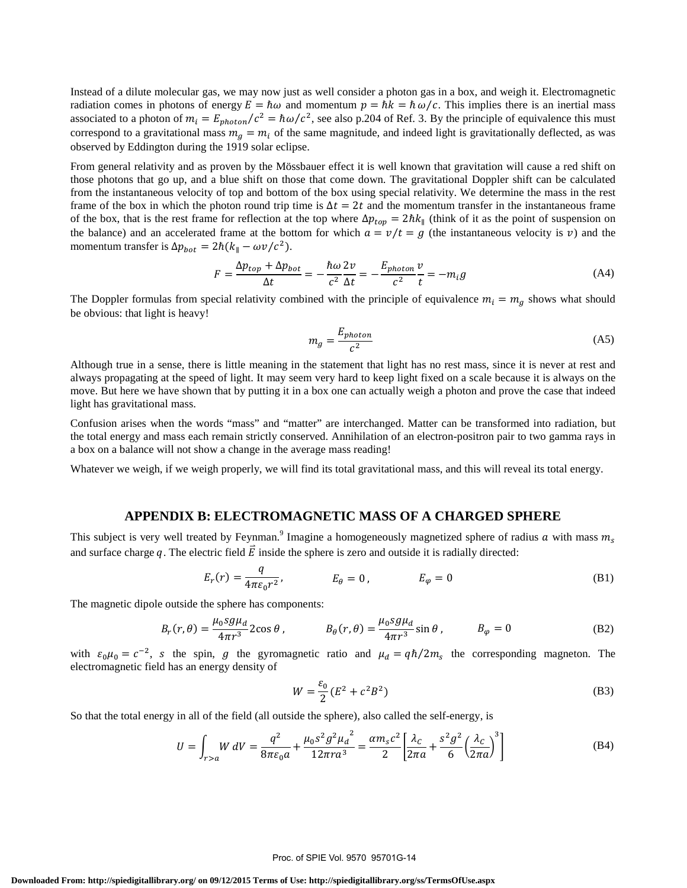Instead of a dilute molecular gas, we may now just as well consider a photon gas in a box, and weigh it. Electromagnetic radiation comes in photons of energy  $E = \hbar \omega$  and momentum  $p = \hbar k = \hbar \omega/c$ . This implies there is an inertial mass associated to a photon of  $m_i = E_{photon}/c^2 = \hbar \omega/c^2$ , see also p.204 of Ref. 3. By the principle of equivalence this must correspond to a gravitational mass  $m_q = m_i$  of the same magnitude, and indeed light is gravitationally deflected, as was observed by Eddington during the 1919 solar eclipse.

From general relativity and as proven by the Mössbauer effect it is well known that gravitation will cause a red shift on those photons that go up, and a blue shift on those that come down. The gravitational Doppler shift can be calculated from the instantaneous velocity of top and bottom of the box using special relativity. We determine the mass in the rest frame of the box in which the photon round trip time is  $\Delta t = 2t$  and the momentum transfer in the instantaneous frame of the box, that is the rest frame for reflection at the top where  $\Delta p_{top} = 2\hbar k_{\parallel}$  (think of it as the point of suspension on the balance) and an accelerated frame at the bottom for which  $a = v/t = g$  (the instantaneous velocity is v) and the momentum transfer is  $\Delta p_{bot} = 2\hbar (k_{\parallel} - \omega v/c^2)$ .

$$
F = \frac{\Delta p_{top} + \Delta p_{bot}}{\Delta t} = -\frac{\hbar \omega}{c^2} \frac{2v}{\Delta t} = -\frac{E_{photon}}{c^2} \frac{v}{t} = -m_i g \tag{A4}
$$

The Doppler formulas from special relativity combined with the principle of equivalence  $m_i = m_g$  shows what should be obvious: that light is heavy!

$$
m_g = \frac{E_{photon}}{c^2} \tag{A5}
$$

Although true in a sense, there is little meaning in the statement that light has no rest mass, since it is never at rest and always propagating at the speed of light. It may seem very hard to keep light fixed on a scale because it is always on the move. But here we have shown that by putting it in a box one can actually weigh a photon and prove the case that indeed light has gravitational mass.

Confusion arises when the words "mass" and "matter" are interchanged. Matter can be transformed into radiation, but the total energy and mass each remain strictly conserved. Annihilation of an electron-positron pair to two gamma rays in a box on a balance will not show a change in the average mass reading!

Whatever we weigh, if we weigh properly, we will find its total gravitational mass, and this will reveal its total energy.

### **APPENDIX B: ELECTROMAGNETIC MASS OF A CHARGED SPHERE**

This subject is very well treated by Feynman.<sup>9</sup> Imagine a homogeneously magnetized sphere of radius  $a$  with mass  $m_s$ and surface charge q. The electric field  $\vec{E}$  inside the sphere is zero and outside it is radially directed:

$$
E_r(r) = \frac{q}{4\pi\varepsilon_0 r^2}, \qquad E_\theta = 0, \qquad E_\varphi = 0 \tag{B1}
$$

The magnetic dipole outside the sphere has components:

$$
B_r(r,\theta) = \frac{\mu_0 s g \mu_d}{4\pi r^3} 2\cos\theta, \qquad B_\theta(r,\theta) = \frac{\mu_0 s g \mu_d}{4\pi r^3} \sin\theta, \qquad B_\phi = 0 \tag{B2}
$$

with  $\varepsilon_0 \mu_0 = c^{-2}$ , *s* the spin, *g* the gyromagnetic ratio and  $\mu_d = q\hbar/2m_s$  the corresponding magneton. The electromagnetic field has an energy density of

$$
W = \frac{\varepsilon_0}{2} (E^2 + c^2 B^2) \tag{B3}
$$

So that the total energy in all of the field (all outside the sphere), also called the self-energy, is

$$
U = \int_{r>a} W \, dV = \frac{q^2}{8\pi\varepsilon_0 a} + \frac{\mu_0 s^2 g^2 \mu_a^2}{12\pi r a^3} = \frac{\alpha m_s c^2}{2} \left[ \frac{\lambda_c}{2\pi a} + \frac{s^2 g^2}{6} \left( \frac{\lambda_c}{2\pi a} \right)^3 \right] \tag{B4}
$$